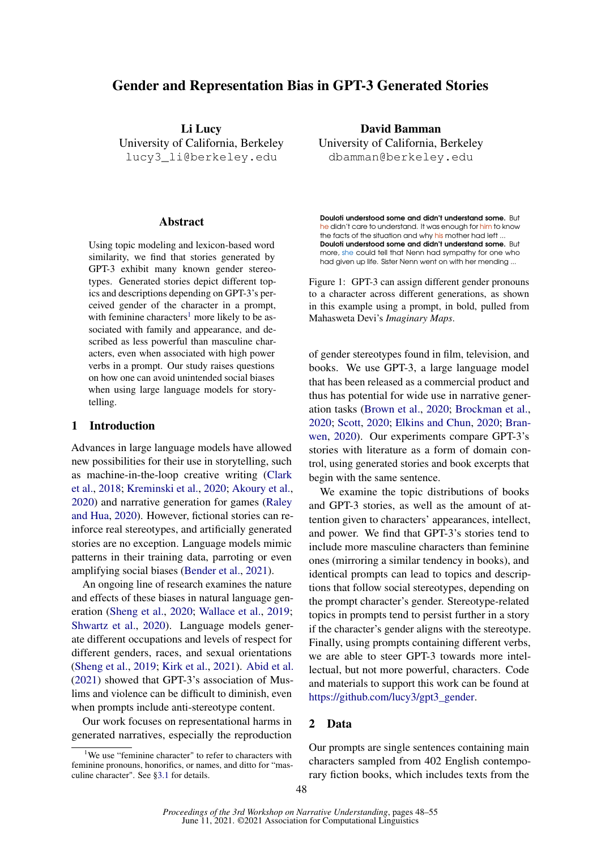# Gender and Representation Bias in GPT-3 Generated Stories

Li Lucy University of California, Berkeley lucy3\_li@berkeley.edu

#### Abstract

Using topic modeling and lexicon-based word similarity, we find that stories generated by GPT-3 exhibit many known gender stereotypes. Generated stories depict different topics and descriptions depending on GPT-3's perceived gender of the character in a prompt, with feminine characters<sup>[1](#page-0-0)</sup> more likely to be associated with family and appearance, and described as less powerful than masculine characters, even when associated with high power verbs in a prompt. Our study raises questions on how one can avoid unintended social biases when using large language models for storytelling.

## 1 Introduction

Advances in large language models have allowed new possibilities for their use in storytelling, such as machine-in-the-loop creative writing [\(Clark](#page-5-0) [et al.,](#page-5-0) [2018;](#page-5-0) [Kreminski et al.,](#page-6-0) [2020;](#page-6-0) [Akoury et al.,](#page-5-1) [2020\)](#page-5-1) and narrative generation for games [\(Raley](#page-6-1) [and Hua,](#page-6-1) [2020\)](#page-6-1). However, fictional stories can reinforce real stereotypes, and artificially generated stories are no exception. Language models mimic patterns in their training data, parroting or even amplifying social biases [\(Bender et al.,](#page-5-2) [2021\)](#page-5-2).

An ongoing line of research examines the nature and effects of these biases in natural language generation [\(Sheng et al.,](#page-7-0) [2020;](#page-7-0) [Wallace et al.,](#page-7-1) [2019;](#page-7-1) [Shwartz et al.,](#page-7-2) [2020\)](#page-7-2). Language models generate different occupations and levels of respect for different genders, races, and sexual orientations [\(Sheng et al.,](#page-7-3) [2019;](#page-7-3) [Kirk et al.,](#page-6-2) [2021\)](#page-6-2). [Abid et al.](#page-5-3) [\(2021\)](#page-5-3) showed that GPT-3's association of Muslims and violence can be difficult to diminish, even when prompts include anti-stereotype content.

Our work focuses on representational harms in generated narratives, especially the reproduction

David Bamman University of California, Berkeley dbamman@berkeley.edu

<span id="page-0-1"></span>**Douloti understood some and didn't understand some.** But he didn't care to understand. It was enough for him to know the facts of the situation and why his mother had left ... **Douloti understood some and didn't understand some.** But more, she could tell that Nenn had sympathy for one who had given up life. Sister Nenn went on with her mending ...

Figure 1: GPT-3 can assign different gender pronouns to a character across different generations, as shown in this example using a prompt, in bold, pulled from Mahasweta Devi's *Imaginary Maps*.

of gender stereotypes found in film, television, and books. We use GPT-3, a large language model that has been released as a commercial product and thus has potential for wide use in narrative generation tasks [\(Brown et al.,](#page-5-4) [2020;](#page-5-4) [Brockman et al.,](#page-5-5) [2020;](#page-5-5) [Scott,](#page-7-4) [2020;](#page-7-4) [Elkins and Chun,](#page-6-3) [2020;](#page-6-3) [Bran](#page-5-6)[wen,](#page-5-6) [2020\)](#page-5-6). Our experiments compare GPT-3's stories with literature as a form of domain control, using generated stories and book excerpts that begin with the same sentence.

We examine the topic distributions of books and GPT-3 stories, as well as the amount of attention given to characters' appearances, intellect, and power. We find that GPT-3's stories tend to include more masculine characters than feminine ones (mirroring a similar tendency in books), and identical prompts can lead to topics and descriptions that follow social stereotypes, depending on the prompt character's gender. Stereotype-related topics in prompts tend to persist further in a story if the character's gender aligns with the stereotype. Finally, using prompts containing different verbs, we are able to steer GPT-3 towards more intellectual, but not more powerful, characters. Code and materials to support this work can be found at [https://github.com/lucy3/gpt3\\_gender.](https://github.com/lucy3/gpt3_gender)

## 2 Data

Our prompts are single sentences containing main characters sampled from 402 English contemporary fiction books, which includes texts from the

<span id="page-0-0"></span><sup>&</sup>lt;sup>1</sup>We use "feminine character" to refer to characters with feminine pronouns, honorifics, or names, and ditto for "masculine character". See [§3.1](#page-1-0) for details.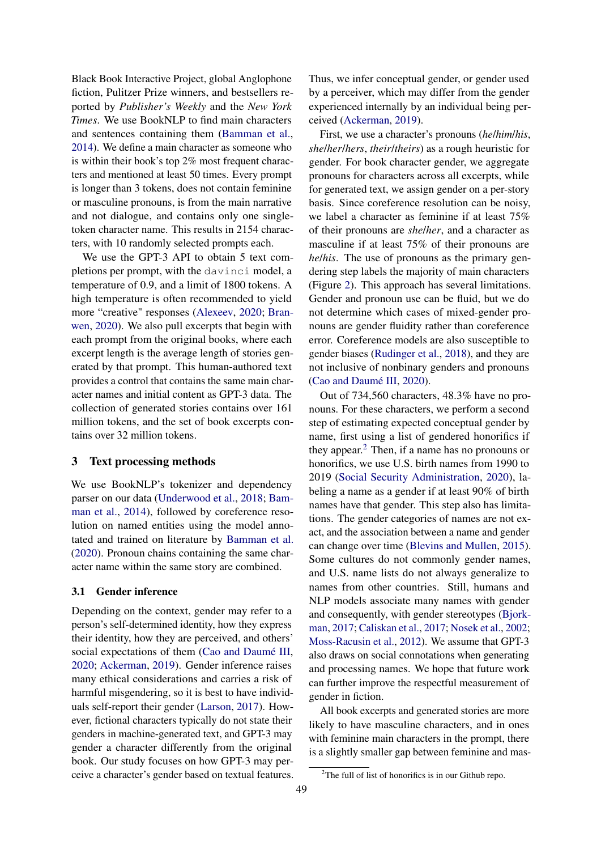Black Book Interactive Project, global Anglophone fiction, Pulitzer Prize winners, and bestsellers reported by *Publisher's Weekly* and the *New York Times*. We use BookNLP to find main characters and sentences containing them [\(Bamman et al.,](#page-5-7) [2014\)](#page-5-7). We define a main character as someone who is within their book's top 2% most frequent characters and mentioned at least 50 times. Every prompt is longer than 3 tokens, does not contain feminine or masculine pronouns, is from the main narrative and not dialogue, and contains only one singletoken character name. This results in 2154 characters, with 10 randomly selected prompts each.

We use the GPT-3 API to obtain 5 text completions per prompt, with the davinci model, a temperature of 0.9, and a limit of 1800 tokens. A high temperature is often recommended to yield more "creative" responses [\(Alexeev,](#page-5-8) [2020;](#page-5-8) [Bran](#page-5-6)[wen,](#page-5-6) [2020\)](#page-5-6). We also pull excerpts that begin with each prompt from the original books, where each excerpt length is the average length of stories generated by that prompt. This human-authored text provides a control that contains the same main character names and initial content as GPT-3 data. The collection of generated stories contains over 161 million tokens, and the set of book excerpts contains over 32 million tokens.

## 3 Text processing methods

We use BookNLP's tokenizer and dependency parser on our data [\(Underwood et al.,](#page-7-5) [2018;](#page-7-5) [Bam](#page-5-7)[man et al.,](#page-5-7) [2014\)](#page-5-7), followed by coreference resolution on named entities using the model annotated and trained on literature by [Bamman et al.](#page-5-9) [\(2020\)](#page-5-9). Pronoun chains containing the same character name within the same story are combined.

#### <span id="page-1-0"></span>3.1 Gender inference

Depending on the context, gender may refer to a person's self-determined identity, how they express their identity, how they are perceived, and others' social expectations of them [\(Cao and Daumé III,](#page-5-10) [2020;](#page-5-10) [Ackerman,](#page-5-11) [2019\)](#page-5-11). Gender inference raises many ethical considerations and carries a risk of harmful misgendering, so it is best to have individuals self-report their gender [\(Larson,](#page-6-4) [2017\)](#page-6-4). However, fictional characters typically do not state their genders in machine-generated text, and GPT-3 may gender a character differently from the original book. Our study focuses on how GPT-3 may perceive a character's gender based on textual features. Thus, we infer conceptual gender, or gender used by a perceiver, which may differ from the gender experienced internally by an individual being perceived [\(Ackerman,](#page-5-11) [2019\)](#page-5-11).

First, we use a character's pronouns (*he*/*him*/*his*, *she*/*her*/*hers*, *their*/*theirs*) as a rough heuristic for gender. For book character gender, we aggregate pronouns for characters across all excerpts, while for generated text, we assign gender on a per-story basis. Since coreference resolution can be noisy, we label a character as feminine if at least 75% of their pronouns are *she*/*her*, and a character as masculine if at least 75% of their pronouns are *he*/*his*. The use of pronouns as the primary gendering step labels the majority of main characters (Figure [2\)](#page-2-0). This approach has several limitations. Gender and pronoun use can be fluid, but we do not determine which cases of mixed-gender pronouns are gender fluidity rather than coreference error. Coreference models are also susceptible to gender biases [\(Rudinger et al.,](#page-6-5) [2018\)](#page-6-5), and they are not inclusive of nonbinary genders and pronouns [\(Cao and Daumé III,](#page-5-10) [2020\)](#page-5-10).

Out of 734,560 characters, 48.3% have no pronouns. For these characters, we perform a second step of estimating expected conceptual gender by name, first using a list of gendered honorifics if they appear. $<sup>2</sup>$  $<sup>2</sup>$  $<sup>2</sup>$  Then, if a name has no pronouns or</sup> honorifics, we use U.S. birth names from 1990 to 2019 [\(Social Security Administration,](#page-7-6) [2020\)](#page-7-6), labeling a name as a gender if at least 90% of birth names have that gender. This step also has limitations. The gender categories of names are not exact, and the association between a name and gender can change over time [\(Blevins and Mullen,](#page-5-12) [2015\)](#page-5-12). Some cultures do not commonly gender names, and U.S. name lists do not always generalize to names from other countries. Still, humans and NLP models associate many names with gender and consequently, with gender stereotypes [\(Bjork](#page-5-13)[man,](#page-5-13) [2017;](#page-5-13) [Caliskan et al.,](#page-5-14) [2017;](#page-5-14) [Nosek et al.,](#page-6-6) [2002;](#page-6-6) [Moss-Racusin et al.,](#page-6-7) [2012\)](#page-6-7). We assume that GPT-3 also draws on social connotations when generating and processing names. We hope that future work can further improve the respectful measurement of gender in fiction.

All book excerpts and generated stories are more likely to have masculine characters, and in ones with feminine main characters in the prompt, there is a slightly smaller gap between feminine and mas-

<span id="page-1-1"></span> $2$ The full of list of honorifics is in our Github repo.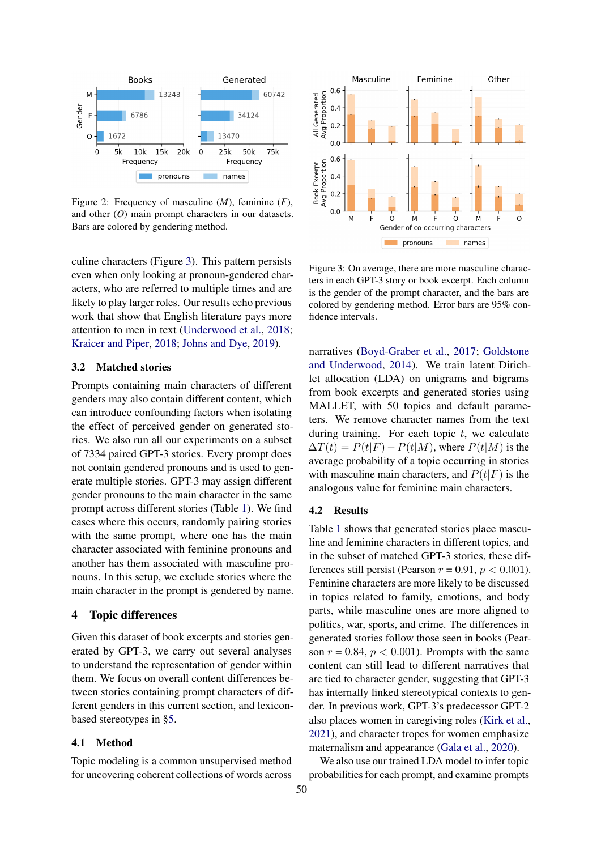<span id="page-2-0"></span>

Figure 2: Frequency of masculine (*M*), feminine (*F*), and other (*O*) main prompt characters in our datasets. Bars are colored by gendering method.

culine characters (Figure [3\)](#page-2-1). This pattern persists even when only looking at pronoun-gendered characters, who are referred to multiple times and are likely to play larger roles. Our results echo previous work that show that English literature pays more attention to men in text [\(Underwood et al.,](#page-7-5) [2018;](#page-7-5) [Kraicer and Piper,](#page-6-8) [2018;](#page-6-8) [Johns and Dye,](#page-6-9) [2019\)](#page-6-9).

#### 3.2 Matched stories

Prompts containing main characters of different genders may also contain different content, which can introduce confounding factors when isolating the effect of perceived gender on generated stories. We also run all our experiments on a subset of 7334 paired GPT-3 stories. Every prompt does not contain gendered pronouns and is used to generate multiple stories. GPT-3 may assign different gender pronouns to the main character in the same prompt across different stories (Table [1\)](#page-0-1). We find cases where this occurs, randomly pairing stories with the same prompt, where one has the main character associated with feminine pronouns and another has them associated with masculine pronouns. In this setup, we exclude stories where the main character in the prompt is gendered by name.

## 4 Topic differences

Given this dataset of book excerpts and stories generated by GPT-3, we carry out several analyses to understand the representation of gender within them. We focus on overall content differences between stories containing prompt characters of different genders in this current section, and lexiconbased stereotypes in [§5.](#page-3-0)

#### 4.1 Method

Topic modeling is a common unsupervised method for uncovering coherent collections of words across

<span id="page-2-1"></span>

Figure 3: On average, there are more masculine characters in each GPT-3 story or book excerpt. Each column is the gender of the prompt character, and the bars are colored by gendering method. Error bars are 95% confidence intervals.

narratives [\(Boyd-Graber et al.,](#page-5-15) [2017;](#page-5-15) [Goldstone](#page-6-10) [and Underwood,](#page-6-10) [2014\)](#page-6-10). We train latent Dirichlet allocation (LDA) on unigrams and bigrams from book excerpts and generated stories using MALLET, with 50 topics and default parameters. We remove character names from the text during training. For each topic  $t$ , we calculate  $\Delta T(t) = P(t|F) - P(t|M)$ , where  $P(t|M)$  is the average probability of a topic occurring in stories with masculine main characters, and  $P(t|F)$  is the analogous value for feminine main characters.

#### 4.2 Results

Table [1](#page-3-1) shows that generated stories place masculine and feminine characters in different topics, and in the subset of matched GPT-3 stories, these differences still persist (Pearson  $r = 0.91$ ,  $p < 0.001$ ). Feminine characters are more likely to be discussed in topics related to family, emotions, and body parts, while masculine ones are more aligned to politics, war, sports, and crime. The differences in generated stories follow those seen in books (Pearson  $r = 0.84$ ,  $p < 0.001$ ). Prompts with the same content can still lead to different narratives that are tied to character gender, suggesting that GPT-3 has internally linked stereotypical contexts to gender. In previous work, GPT-3's predecessor GPT-2 also places women in caregiving roles [\(Kirk et al.,](#page-6-2) [2021\)](#page-6-2), and character tropes for women emphasize maternalism and appearance [\(Gala et al.,](#page-6-11) [2020\)](#page-6-11).

We also use our trained LDA model to infer topic probabilities for each prompt, and examine prompts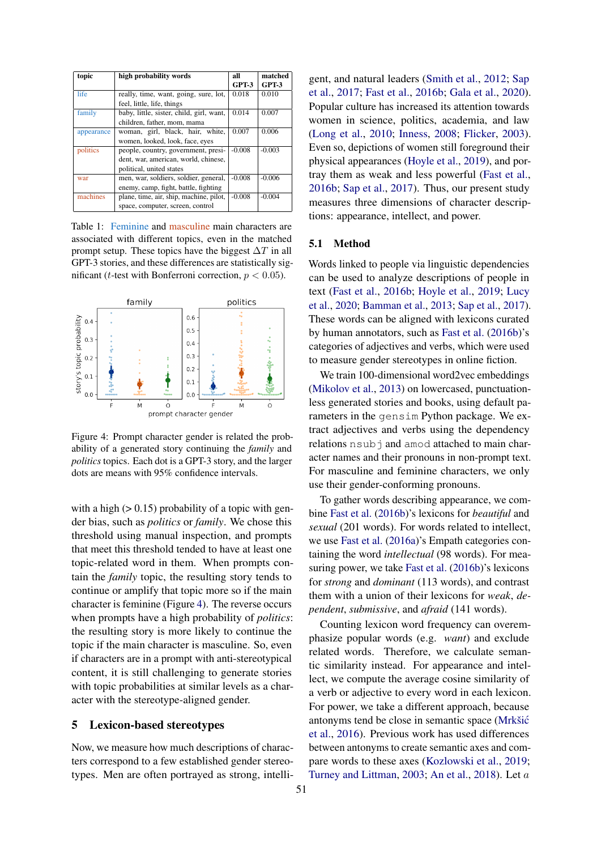<span id="page-3-1"></span>

| topic      | high probability words                   | all      | matched  |
|------------|------------------------------------------|----------|----------|
|            |                                          | GPT-3    | GPT-3    |
| life       | really, time, want, going, sure, lot,    | 0.018    | 0.010    |
|            | feel, little, life, things               |          |          |
| family     | baby, little, sister, child, girl, want, | 0.014    | 0.007    |
|            | children, father, mom, mama              |          |          |
| appearance | woman, girl, black, hair, white,         | 0.007    | 0.006    |
|            | women, looked, look, face, eyes          |          |          |
| politics   | people, country, government, presi-      | $-0.008$ | $-0.003$ |
|            | dent, war, american, world, chinese,     |          |          |
|            | political, united states                 |          |          |
| war        | men, war, soldiers, soldier, general,    | $-0.008$ | $-0.006$ |
|            | enemy, camp, fight, battle, fighting     |          |          |
| machines   | plane, time, air, ship, machine, pilot,  | $-0.008$ | $-0.004$ |
|            | space, computer, screen, control         |          |          |

Table 1: Feminine and masculine main characters are associated with different topics, even in the matched prompt setup. These topics have the biggest  $\Delta T$  in all GPT-3 stories, and these differences are statistically significant (*t*-test with Bonferroni correction,  $p < 0.05$ ).

<span id="page-3-2"></span>

Figure 4: Prompt character gender is related the probability of a generated story continuing the *family* and *politics* topics. Each dot is a GPT-3 story, and the larger dots are means with 95% confidence intervals.

with a high  $(> 0.15)$  probability of a topic with gender bias, such as *politics* or *family*. We chose this threshold using manual inspection, and prompts that meet this threshold tended to have at least one topic-related word in them. When prompts contain the *family* topic, the resulting story tends to continue or amplify that topic more so if the main character is feminine (Figure [4\)](#page-3-2). The reverse occurs when prompts have a high probability of *politics*: the resulting story is more likely to continue the topic if the main character is masculine. So, even if characters are in a prompt with anti-stereotypical content, it is still challenging to generate stories with topic probabilities at similar levels as a character with the stereotype-aligned gender.

## <span id="page-3-0"></span>5 Lexicon-based stereotypes

Now, we measure how much descriptions of characters correspond to a few established gender stereotypes. Men are often portrayed as strong, intelligent, and natural leaders [\(Smith et al.,](#page-7-7) [2012;](#page-7-7) [Sap](#page-7-8) [et al.,](#page-7-8) [2017;](#page-7-8) [Fast et al.,](#page-6-12) [2016b;](#page-6-12) [Gala et al.,](#page-6-11) [2020\)](#page-6-11). Popular culture has increased its attention towards women in science, politics, academia, and law [\(Long et al.,](#page-6-13) [2010;](#page-6-13) [Inness,](#page-6-14) [2008;](#page-6-14) [Flicker,](#page-6-15) [2003\)](#page-6-15). Even so, depictions of women still foreground their physical appearances [\(Hoyle et al.,](#page-6-16) [2019\)](#page-6-16), and portray them as weak and less powerful [\(Fast et al.,](#page-6-12) [2016b;](#page-6-12) [Sap et al.,](#page-7-8) [2017\)](#page-7-8). Thus, our present study measures three dimensions of character descriptions: appearance, intellect, and power.

#### 5.1 Method

Words linked to people via linguistic dependencies can be used to analyze descriptions of people in text [\(Fast et al.,](#page-6-12) [2016b;](#page-6-12) [Hoyle et al.,](#page-6-16) [2019;](#page-6-16) [Lucy](#page-6-17) [et al.,](#page-6-17) [2020;](#page-6-17) [Bamman et al.,](#page-5-16) [2013;](#page-5-16) [Sap et al.,](#page-7-8) [2017\)](#page-7-8). These words can be aligned with lexicons curated by human annotators, such as [Fast et al.](#page-6-12) [\(2016b\)](#page-6-12)'s categories of adjectives and verbs, which were used to measure gender stereotypes in online fiction.

We train 100-dimensional word2vec embeddings [\(Mikolov et al.,](#page-6-18) [2013\)](#page-6-18) on lowercased, punctuationless generated stories and books, using default parameters in the gensim Python package. We extract adjectives and verbs using the dependency relations nsubj and amod attached to main character names and their pronouns in non-prompt text. For masculine and feminine characters, we only use their gender-conforming pronouns.

To gather words describing appearance, we combine [Fast et al.](#page-6-12) [\(2016b\)](#page-6-12)'s lexicons for *beautiful* and *sexual* (201 words). For words related to intellect, we use [Fast et al.](#page-6-19) [\(2016a\)](#page-6-19)'s Empath categories containing the word *intellectual* (98 words). For measuring power, we take [Fast et al.](#page-6-12) [\(2016b\)](#page-6-12)'s lexicons for *strong* and *dominant* (113 words), and contrast them with a union of their lexicons for *weak*, *dependent*, *submissive*, and *afraid* (141 words).

Counting lexicon word frequency can overemphasize popular words (e.g. *want*) and exclude related words. Therefore, we calculate semantic similarity instead. For appearance and intellect, we compute the average cosine similarity of a verb or adjective to every word in each lexicon. For power, we take a different approach, because antonyms tend be close in semantic space [\(Mrkšic´](#page-6-20) [et al.,](#page-6-20) [2016\)](#page-6-20). Previous work has used differences between antonyms to create semantic axes and compare words to these axes [\(Kozlowski et al.,](#page-6-21) [2019;](#page-6-21) [Turney and Littman,](#page-7-9) [2003;](#page-7-9) [An et al.,](#page-5-17) [2018\)](#page-5-17). Let a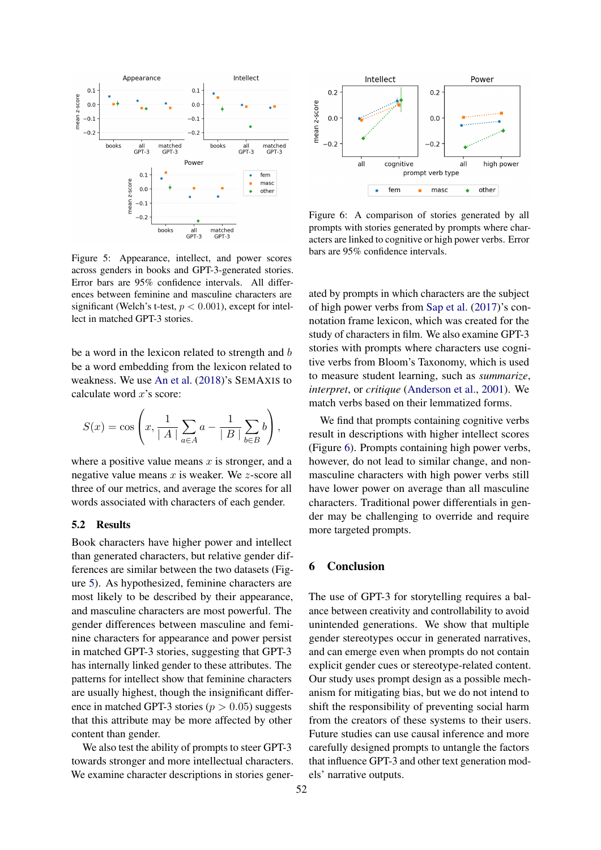<span id="page-4-0"></span>

Figure 5: Appearance, intellect, and power scores across genders in books and GPT-3-generated stories. Error bars are 95% confidence intervals. All differences between feminine and masculine characters are significant (Welch's t-test,  $p < 0.001$ ), except for intellect in matched GPT-3 stories.

be a word in the lexicon related to strength and b be a word embedding from the lexicon related to weakness. We use [An et al.](#page-5-17) [\(2018\)](#page-5-17)'s SEMAXIS to calculate word  $x$ 's score:

$$
S(x) = \cos\left(x, \frac{1}{|A|} \sum_{a \in A} a - \frac{1}{|B|} \sum_{b \in B} b\right),\,
$$

where a positive value means  $x$  is stronger, and a negative value means  $x$  is weaker. We  $z$ -score all three of our metrics, and average the scores for all words associated with characters of each gender.

#### 5.2 Results

Book characters have higher power and intellect than generated characters, but relative gender differences are similar between the two datasets (Figure [5\)](#page-4-0). As hypothesized, feminine characters are most likely to be described by their appearance, and masculine characters are most powerful. The gender differences between masculine and feminine characters for appearance and power persist in matched GPT-3 stories, suggesting that GPT-3 has internally linked gender to these attributes. The patterns for intellect show that feminine characters are usually highest, though the insignificant difference in matched GPT-3 stories ( $p > 0.05$ ) suggests that this attribute may be more affected by other content than gender.

We also test the ability of prompts to steer GPT-3 towards stronger and more intellectual characters. We examine character descriptions in stories gener-

<span id="page-4-1"></span>

Figure 6: A comparison of stories generated by all prompts with stories generated by prompts where characters are linked to cognitive or high power verbs. Error bars are 95% confidence intervals.

ated by prompts in which characters are the subject of high power verbs from [Sap et al.](#page-7-8) [\(2017\)](#page-7-8)'s connotation frame lexicon, which was created for the study of characters in film. We also examine GPT-3 stories with prompts where characters use cognitive verbs from Bloom's Taxonomy, which is used to measure student learning, such as *summarize*, *interpret*, or *critique* [\(Anderson et al.,](#page-5-18) [2001\)](#page-5-18). We match verbs based on their lemmatized forms.

We find that prompts containing cognitive verbs result in descriptions with higher intellect scores (Figure [6\)](#page-4-1). Prompts containing high power verbs, however, do not lead to similar change, and nonmasculine characters with high power verbs still have lower power on average than all masculine characters. Traditional power differentials in gender may be challenging to override and require more targeted prompts.

## 6 Conclusion

The use of GPT-3 for storytelling requires a balance between creativity and controllability to avoid unintended generations. We show that multiple gender stereotypes occur in generated narratives, and can emerge even when prompts do not contain explicit gender cues or stereotype-related content. Our study uses prompt design as a possible mechanism for mitigating bias, but we do not intend to shift the responsibility of preventing social harm from the creators of these systems to their users. Future studies can use causal inference and more carefully designed prompts to untangle the factors that influence GPT-3 and other text generation models' narrative outputs.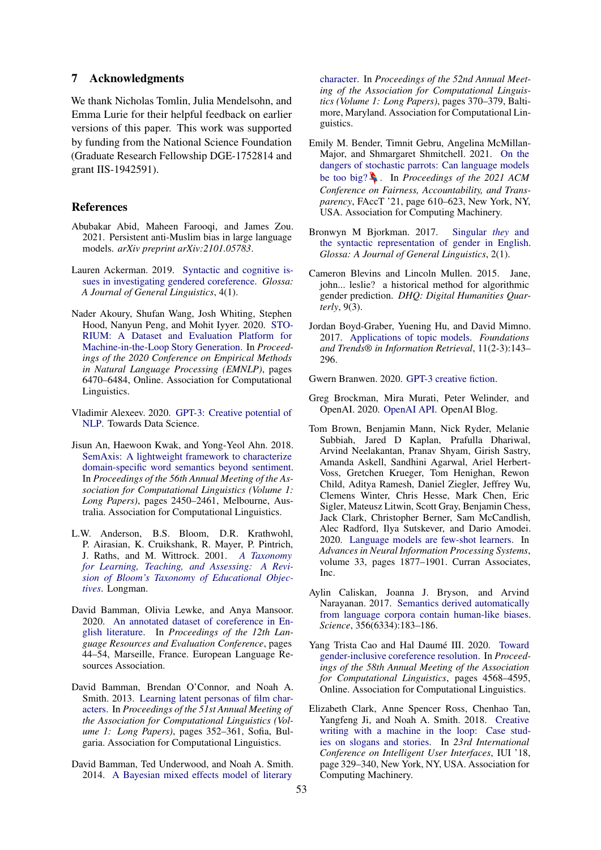### 7 Acknowledgments

We thank Nicholas Tomlin, Julia Mendelsohn, and Emma Lurie for their helpful feedback on earlier versions of this paper. This work was supported by funding from the National Science Foundation (Graduate Research Fellowship DGE-1752814 and grant IIS-1942591).

### References

- <span id="page-5-3"></span>Abubakar Abid, Maheen Farooqi, and James Zou. 2021. Persistent anti-Muslim bias in large language models. *arXiv preprint arXiv:2101.05783*.
- <span id="page-5-11"></span>Lauren Ackerman. 2019. [Syntactic and cognitive is](https://doi.org/10.5334/gjgl.721)[sues in investigating gendered coreference.](https://doi.org/10.5334/gjgl.721) *Glossa: A Journal of General Linguistics*, 4(1).
- <span id="page-5-1"></span>Nader Akoury, Shufan Wang, Josh Whiting, Stephen Hood, Nanyun Peng, and Mohit Iyyer. 2020. [STO-](https://doi.org/10.18653/v1/2020.emnlp-main.525)[RIUM: A Dataset and Evaluation Platform for](https://doi.org/10.18653/v1/2020.emnlp-main.525) [Machine-in-the-Loop Story Generation.](https://doi.org/10.18653/v1/2020.emnlp-main.525) In *Proceedings of the 2020 Conference on Empirical Methods in Natural Language Processing (EMNLP)*, pages 6470–6484, Online. Association for Computational Linguistics.
- <span id="page-5-8"></span>Vladimir Alexeev. 2020. [GPT-3: Creative potential of](https://towardsdatascience.com/gpt-3-creative-potential-of-nlp-d5ccae16c1ab) [NLP.](https://towardsdatascience.com/gpt-3-creative-potential-of-nlp-d5ccae16c1ab) Towards Data Science.
- <span id="page-5-17"></span>Jisun An, Haewoon Kwak, and Yong-Yeol Ahn. 2018. [SemAxis: A lightweight framework to characterize](https://doi.org/10.18653/v1/P18-1228) [domain-specific word semantics beyond sentiment.](https://doi.org/10.18653/v1/P18-1228) In *Proceedings of the 56th Annual Meeting of the Association for Computational Linguistics (Volume 1: Long Papers)*, pages 2450–2461, Melbourne, Australia. Association for Computational Linguistics.
- <span id="page-5-18"></span>L.W. Anderson, B.S. Bloom, D.R. Krathwohl, P. Airasian, K. Cruikshank, R. Mayer, P. Pintrich, J. Raths, and M. Wittrock. 2001. *[A Taxonomy](https://books.google.com/books?id=EMQlAQAAIAAJ) [for Learning, Teaching, and Assessing: A Revi](https://books.google.com/books?id=EMQlAQAAIAAJ)[sion of Bloom's Taxonomy of Educational Objec](https://books.google.com/books?id=EMQlAQAAIAAJ)[tives](https://books.google.com/books?id=EMQlAQAAIAAJ)*. Longman.
- <span id="page-5-9"></span>David Bamman, Olivia Lewke, and Anya Mansoor. 2020. [An annotated dataset of coreference in En](https://www.aclweb.org/anthology/2020.lrec-1.6)[glish literature.](https://www.aclweb.org/anthology/2020.lrec-1.6) In *Proceedings of the 12th Language Resources and Evaluation Conference*, pages 44–54, Marseille, France. European Language Resources Association.
- <span id="page-5-16"></span>David Bamman, Brendan O'Connor, and Noah A. Smith. 2013. [Learning latent personas of film char](https://www.aclweb.org/anthology/P13-1035)[acters.](https://www.aclweb.org/anthology/P13-1035) In *Proceedings of the 51st Annual Meeting of the Association for Computational Linguistics (Volume 1: Long Papers)*, pages 352–361, Sofia, Bulgaria. Association for Computational Linguistics.
- <span id="page-5-7"></span>David Bamman, Ted Underwood, and Noah A. Smith. 2014. [A Bayesian mixed effects model of literary](https://doi.org/10.3115/v1/P14-1035)

[character.](https://doi.org/10.3115/v1/P14-1035) In *Proceedings of the 52nd Annual Meeting of the Association for Computational Linguistics (Volume 1: Long Papers)*, pages 370–379, Baltimore, Maryland. Association for Computational Linguistics.

- <span id="page-5-2"></span>Emily M. Bender, Timnit Gebru, Angelina McMillan-Major, and Shmargaret Shmitchell. 2021. [On the](https://doi.org/10.1145/3442188.3445922) [dangers of stochastic parrots: Can language models](https://doi.org/10.1145/3442188.3445922) [be too big?](https://doi.org/10.1145/3442188.3445922)  $\blacklozenge$ . In *Proceedings of the 2021 ACM Conference on Fairness, Accountability, and Transparency*, FAccT '21, page 610–623, New York, NY, USA. Association for Computing Machinery.
- <span id="page-5-13"></span>Bronwyn M Bjorkman. 2017. [Singular](https://doi.org/10.5334/gjgl.374) *they* and [the syntactic representation of gender in English.](https://doi.org/10.5334/gjgl.374) *Glossa: A Journal of General Linguistics*, 2(1).
- <span id="page-5-12"></span>Cameron Blevins and Lincoln Mullen. 2015. Jane, john... leslie? a historical method for algorithmic gender prediction. *DHQ: Digital Humanities Quarterly*, 9(3).
- <span id="page-5-15"></span>Jordan Boyd-Graber, Yuening Hu, and David Mimno. 2017. [Applications of topic models.](https://doi.org/10.1561/1500000030) *Foundations and Trends® in Information Retrieval*, 11(2-3):143– 296.

<span id="page-5-6"></span>Gwern Branwen. 2020. [GPT-3 creative fiction.](https://www.gwern.net/GPT-3)

- <span id="page-5-5"></span>Greg Brockman, Mira Murati, Peter Welinder, and OpenAI. 2020. [OpenAI API.](https://openai.com/blog/openai-api/) OpenAI Blog.
- <span id="page-5-4"></span>Tom Brown, Benjamin Mann, Nick Ryder, Melanie Subbiah, Jared D Kaplan, Prafulla Dhariwal, Arvind Neelakantan, Pranav Shyam, Girish Sastry, Amanda Askell, Sandhini Agarwal, Ariel Herbert-Voss, Gretchen Krueger, Tom Henighan, Rewon Child, Aditya Ramesh, Daniel Ziegler, Jeffrey Wu, Clemens Winter, Chris Hesse, Mark Chen, Eric Sigler, Mateusz Litwin, Scott Gray, Benjamin Chess, Jack Clark, Christopher Berner, Sam McCandlish, Alec Radford, Ilya Sutskever, and Dario Amodei. 2020. [Language models are few-shot learners.](https://proceedings.neurips.cc/paper/2020/file/1457c0d6bfcb4967418bfb8ac142f64a-Paper.pdf) In *Advances in Neural Information Processing Systems*, volume 33, pages 1877–1901. Curran Associates, Inc.
- <span id="page-5-14"></span>Aylin Caliskan, Joanna J. Bryson, and Arvind Narayanan. 2017. [Semantics derived automatically](https://doi.org/10.1126/science.aal4230) [from language corpora contain human-like biases.](https://doi.org/10.1126/science.aal4230) *Science*, 356(6334):183–186.
- <span id="page-5-10"></span>Yang Trista Cao and Hal Daumé III. 2020. [Toward](https://doi.org/10.18653/v1/2020.acl-main.418) [gender-inclusive coreference resolution.](https://doi.org/10.18653/v1/2020.acl-main.418) In *Proceedings of the 58th Annual Meeting of the Association for Computational Linguistics*, pages 4568–4595, Online. Association for Computational Linguistics.
- <span id="page-5-0"></span>Elizabeth Clark, Anne Spencer Ross, Chenhao Tan, Yangfeng Ji, and Noah A. Smith. 2018. [Creative](https://doi.org/10.1145/3172944.3172983) [writing with a machine in the loop: Case stud](https://doi.org/10.1145/3172944.3172983)[ies on slogans and stories.](https://doi.org/10.1145/3172944.3172983) In *23rd International Conference on Intelligent User Interfaces*, IUI '18, page 329–340, New York, NY, USA. Association for Computing Machinery.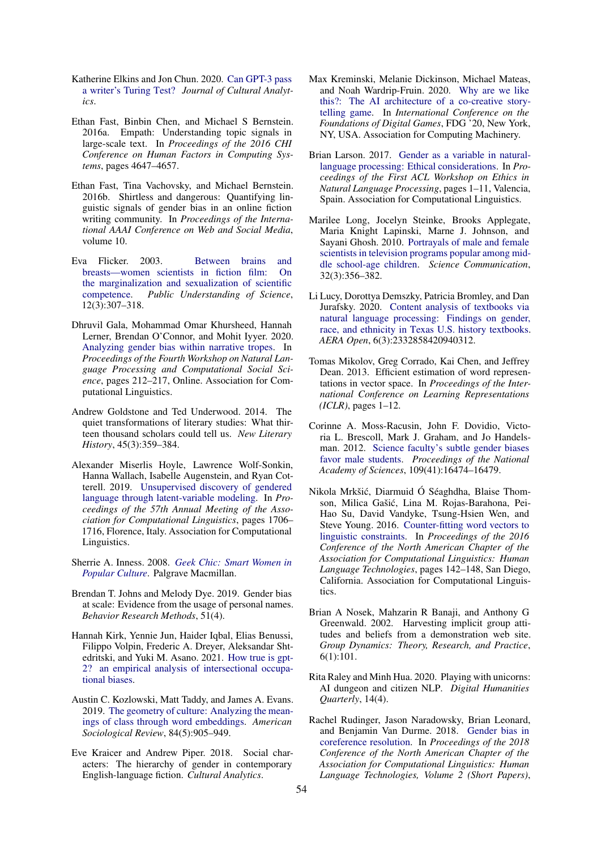- <span id="page-6-3"></span>Katherine Elkins and Jon Chun. 2020. [Can GPT-3 pass](https://doi.org/10.22148/001c.17212) [a writer's Turing Test?](https://doi.org/10.22148/001c.17212) *Journal of Cultural Analytics*.
- <span id="page-6-19"></span>Ethan Fast, Binbin Chen, and Michael S Bernstein. 2016a. Empath: Understanding topic signals in large-scale text. In *Proceedings of the 2016 CHI Conference on Human Factors in Computing Systems*, pages 4647–4657.
- <span id="page-6-12"></span>Ethan Fast, Tina Vachovsky, and Michael Bernstein. 2016b. Shirtless and dangerous: Quantifying linguistic signals of gender bias in an online fiction writing community. In *Proceedings of the International AAAI Conference on Web and Social Media*, volume 10.
- <span id="page-6-15"></span>Eva Flicker. 2003. [Between brains and](https://doi.org/10.1177/0963662503123009) [breasts—women scientists in fiction film: On](https://doi.org/10.1177/0963662503123009) [the marginalization and sexualization of scientific](https://doi.org/10.1177/0963662503123009) [competence.](https://doi.org/10.1177/0963662503123009) *Public Understanding of Science*, 12(3):307–318.
- <span id="page-6-11"></span>Dhruvil Gala, Mohammad Omar Khursheed, Hannah Lerner, Brendan O'Connor, and Mohit Iyyer. 2020. [Analyzing gender bias within narrative tropes.](https://doi.org/10.18653/v1/2020.nlpcss-1.23) In *Proceedings of the Fourth Workshop on Natural Language Processing and Computational Social Science*, pages 212–217, Online. Association for Computational Linguistics.
- <span id="page-6-10"></span>Andrew Goldstone and Ted Underwood. 2014. The quiet transformations of literary studies: What thirteen thousand scholars could tell us. *New Literary History*, 45(3):359–384.
- <span id="page-6-16"></span>Alexander Miserlis Hoyle, Lawrence Wolf-Sonkin, Hanna Wallach, Isabelle Augenstein, and Ryan Cotterell. 2019. [Unsupervised discovery of gendered](https://doi.org/10.18653/v1/P19-1167) [language through latent-variable modeling.](https://doi.org/10.18653/v1/P19-1167) In *Proceedings of the 57th Annual Meeting of the Association for Computational Linguistics*, pages 1706– 1716, Florence, Italy. Association for Computational Linguistics.
- <span id="page-6-14"></span>Sherrie A. Inness. 2008. *[Geek Chic: Smart Women in](https://books.google.com/books?id=QMtpQgAACAAJ) [Popular Culture](https://books.google.com/books?id=QMtpQgAACAAJ)*. Palgrave Macmillan.
- <span id="page-6-9"></span>Brendan T. Johns and Melody Dye. 2019. Gender bias at scale: Evidence from the usage of personal names. *Behavior Research Methods*, 51(4).
- <span id="page-6-2"></span>Hannah Kirk, Yennie Jun, Haider Iqbal, Elias Benussi, Filippo Volpin, Frederic A. Dreyer, Aleksandar Shtedritski, and Yuki M. Asano. 2021. [How true is gpt-](http://arxiv.org/abs/2102.04130)[2? an empirical analysis of intersectional occupa](http://arxiv.org/abs/2102.04130)[tional biases.](http://arxiv.org/abs/2102.04130)
- <span id="page-6-21"></span>Austin C. Kozlowski, Matt Taddy, and James A. Evans. 2019. [The geometry of culture: Analyzing the mean](https://doi.org/10.1177/0003122419877135)[ings of class through word embeddings.](https://doi.org/10.1177/0003122419877135) *American Sociological Review*, 84(5):905–949.
- <span id="page-6-8"></span>Eve Kraicer and Andrew Piper. 2018. Social characters: The hierarchy of gender in contemporary English-language fiction. *Cultural Analytics*.
- <span id="page-6-0"></span>Max Kreminski, Melanie Dickinson, Michael Mateas, and Noah Wardrip-Fruin. 2020. [Why are we like](https://doi.org/10.1145/3402942.3402953) [this?: The AI architecture of a co-creative story](https://doi.org/10.1145/3402942.3402953)[telling game.](https://doi.org/10.1145/3402942.3402953) In *International Conference on the Foundations of Digital Games*, FDG '20, New York, NY, USA. Association for Computing Machinery.
- <span id="page-6-4"></span>Brian Larson. 2017. [Gender as a variable in natural](https://doi.org/10.18653/v1/W17-1601)[language processing: Ethical considerations.](https://doi.org/10.18653/v1/W17-1601) In *Proceedings of the First ACL Workshop on Ethics in Natural Language Processing*, pages 1–11, Valencia, Spain. Association for Computational Linguistics.
- <span id="page-6-13"></span>Marilee Long, Jocelyn Steinke, Brooks Applegate, Maria Knight Lapinski, Marne J. Johnson, and Sayani Ghosh. 2010. [Portrayals of male and female](https://doi.org/10.1177/1075547009357779) [scientists in television programs popular among mid](https://doi.org/10.1177/1075547009357779)[dle school-age children.](https://doi.org/10.1177/1075547009357779) *Science Communication*, 32(3):356–382.
- <span id="page-6-17"></span>Li Lucy, Dorottya Demszky, Patricia Bromley, and Dan Jurafsky. 2020. [Content analysis of textbooks via](https://doi.org/10.1177/2332858420940312) [natural language processing: Findings on gender,](https://doi.org/10.1177/2332858420940312) [race, and ethnicity in Texas U.S. history textbooks.](https://doi.org/10.1177/2332858420940312) *AERA Open*, 6(3):2332858420940312.
- <span id="page-6-18"></span>Tomas Mikolov, Greg Corrado, Kai Chen, and Jeffrey Dean. 2013. Efficient estimation of word representations in vector space. In *Proceedings of the International Conference on Learning Representations (ICLR)*, pages 1–12.
- <span id="page-6-7"></span>Corinne A. Moss-Racusin, John F. Dovidio, Victoria L. Brescoll, Mark J. Graham, and Jo Handelsman. 2012. [Science faculty's subtle gender biases](https://doi.org/10.1073/pnas.1211286109) [favor male students.](https://doi.org/10.1073/pnas.1211286109) *Proceedings of the National Academy of Sciences*, 109(41):16474–16479.
- <span id="page-6-20"></span>Nikola Mrkšic, Diarmuid Ó Séaghdha, Blaise Thom- ´ son, Milica Gašic, Lina M. Rojas-Barahona, Pei- ´ Hao Su, David Vandyke, Tsung-Hsien Wen, and Steve Young. 2016. [Counter-fitting word vectors to](https://doi.org/10.18653/v1/N16-1018) [linguistic constraints.](https://doi.org/10.18653/v1/N16-1018) In *Proceedings of the 2016 Conference of the North American Chapter of the Association for Computational Linguistics: Human Language Technologies*, pages 142–148, San Diego, California. Association for Computational Linguistics.
- <span id="page-6-6"></span>Brian A Nosek, Mahzarin R Banaji, and Anthony G Greenwald. 2002. Harvesting implicit group attitudes and beliefs from a demonstration web site. *Group Dynamics: Theory, Research, and Practice*, 6(1):101.
- <span id="page-6-1"></span>Rita Raley and Minh Hua. 2020. Playing with unicorns: AI dungeon and citizen NLP. *Digital Humanities Quarterly*, 14(4).
- <span id="page-6-5"></span>Rachel Rudinger, Jason Naradowsky, Brian Leonard, and Benjamin Van Durme. 2018. [Gender bias in](https://doi.org/10.18653/v1/N18-2002) [coreference resolution.](https://doi.org/10.18653/v1/N18-2002) In *Proceedings of the 2018 Conference of the North American Chapter of the Association for Computational Linguistics: Human Language Technologies, Volume 2 (Short Papers)*,